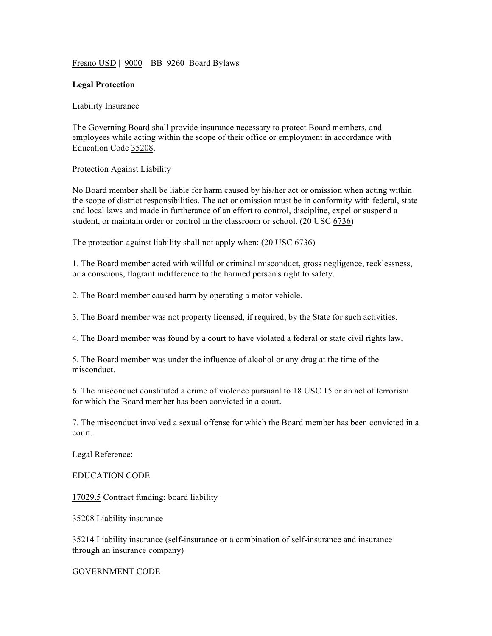Fresno USD | 9000 | BB 9260 Board Bylaws

## **Legal Protection**

Liability Insurance

The Governing Board shall provide insurance necessary to protect Board members, and employees while acting within the scope of their office or employment in accordance with Education Code 35208.

Protection Against Liability

No Board member shall be liable for harm caused by his/her act or omission when acting within the scope of district responsibilities. The act or omission must be in conformity with federal, state and local laws and made in furtherance of an effort to control, discipline, expel or suspend a student, or maintain order or control in the classroom or school. (20 USC 6736)

The protection against liability shall not apply when: (20 USC 6736)

1. The Board member acted with willful or criminal misconduct, gross negligence, recklessness, or a conscious, flagrant indifference to the harmed person's right to safety.

2. The Board member caused harm by operating a motor vehicle.

3. The Board member was not property licensed, if required, by the State for such activities.

4. The Board member was found by a court to have violated a federal or state civil rights law.

5. The Board member was under the influence of alcohol or any drug at the time of the misconduct.

6. The misconduct constituted a crime of violence pursuant to 18 USC 15 or an act of terrorism for which the Board member has been convicted in a court.

7. The misconduct involved a sexual offense for which the Board member has been convicted in a court.

Legal Reference:

EDUCATION CODE

17029.5 Contract funding; board liability

35208 Liability insurance

35214 Liability insurance (self-insurance or a combination of self-insurance and insurance through an insurance company)

GOVERNMENT CODE